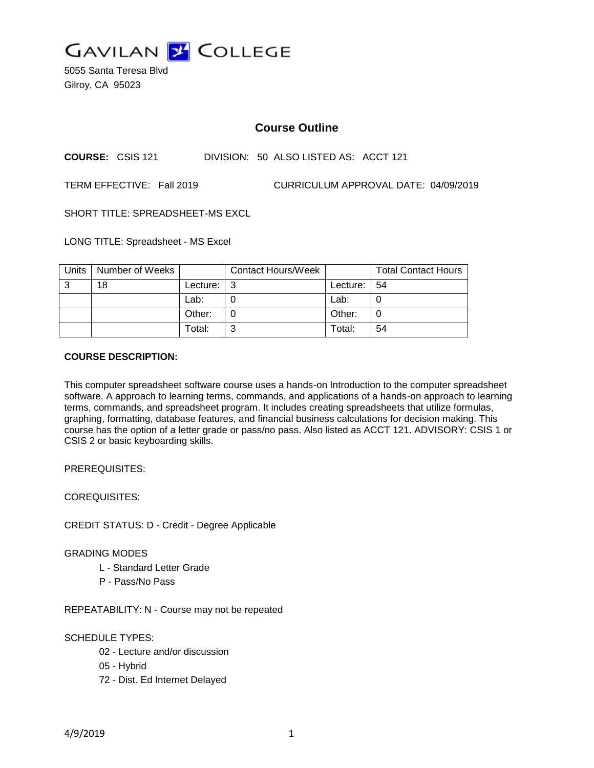

5055 Santa Teresa Blvd Gilroy, CA 95023

# **Course Outline**

**COURSE:** CSIS 121 DIVISION: 50 ALSO LISTED AS: ACCT 121

TERM EFFECTIVE: Fall 2019 CURRICULUM APPROVAL DATE: 04/09/2019

SHORT TITLE: SPREADSHEET-MS EXCL

LONG TITLE: Spreadsheet - MS Excel

| Units | Number of Weeks |          | <b>Contact Hours/Week</b> |          | <b>Total Contact Hours</b> |
|-------|-----------------|----------|---------------------------|----------|----------------------------|
| 3     | 18              | Lecture: | l 3                       | Lecture: | -54                        |
|       |                 | Lab:     |                           | Lab:     |                            |
|       |                 | Other:   |                           | Other:   |                            |
|       |                 | Total:   | 2                         | Total:   | 54                         |

### **COURSE DESCRIPTION:**

This computer spreadsheet software course uses a hands-on Introduction to the computer spreadsheet software. A approach to learning terms, commands, and applications of a hands-on approach to learning terms, commands, and spreadsheet program. It includes creating spreadsheets that utilize formulas, graphing, formatting, database features, and financial business calculations for decision making. This course has the option of a letter grade or pass/no pass. Also listed as ACCT 121. ADVISORY: CSIS 1 or CSIS 2 or basic keyboarding skills.

PREREQUISITES:

COREQUISITES:

CREDIT STATUS: D - Credit - Degree Applicable

### GRADING MODES

- L Standard Letter Grade
- P Pass/No Pass

REPEATABILITY: N - Course may not be repeated

### SCHEDULE TYPES:

- 02 Lecture and/or discussion
- 05 Hybrid
- 72 Dist. Ed Internet Delayed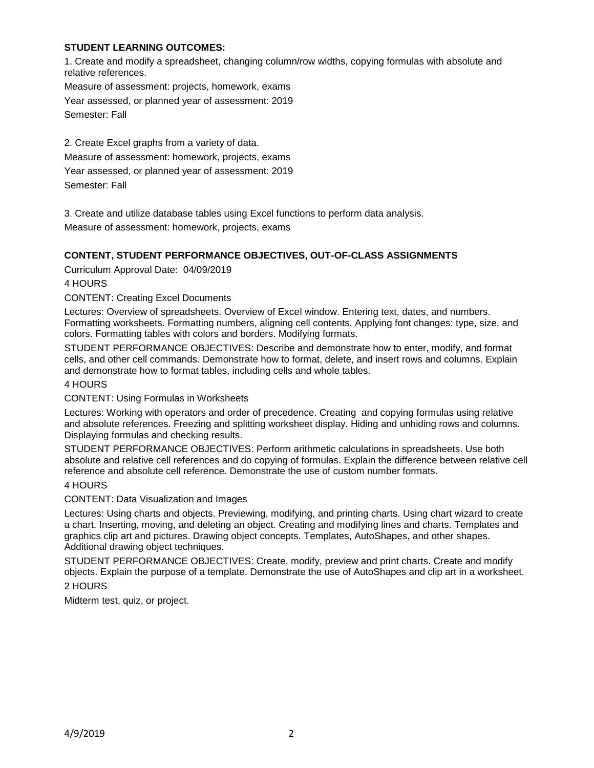## **STUDENT LEARNING OUTCOMES:**

1. Create and modify a spreadsheet, changing column/row widths, copying formulas with absolute and relative references.

Measure of assessment: projects, homework, exams

Year assessed, or planned year of assessment: 2019 Semester: Fall

2. Create Excel graphs from a variety of data. Measure of assessment: homework, projects, exams Year assessed, or planned year of assessment: 2019 Semester: Fall

3. Create and utilize database tables using Excel functions to perform data analysis. Measure of assessment: homework, projects, exams

# **CONTENT, STUDENT PERFORMANCE OBJECTIVES, OUT-OF-CLASS ASSIGNMENTS**

Curriculum Approval Date: 04/09/2019

4 HOURS

CONTENT: Creating Excel Documents

Lectures: Overview of spreadsheets. Overview of Excel window. Entering text, dates, and numbers. Formatting worksheets. Formatting numbers, aligning cell contents. Applying font changes: type, size, and colors. Formatting tables with colors and borders. Modifying formats.

STUDENT PERFORMANCE OBJECTIVES: Describe and demonstrate how to enter, modify, and format cells, and other cell commands. Demonstrate how to format, delete, and insert rows and columns. Explain and demonstrate how to format tables, including cells and whole tables.

4 HOURS

CONTENT: Using Formulas in Worksheets

Lectures: Working with operators and order of precedence. Creating and copying formulas using relative and absolute references. Freezing and splitting worksheet display. Hiding and unhiding rows and columns. Displaying formulas and checking results.

STUDENT PERFORMANCE OBJECTIVES: Perform arithmetic calculations in spreadsheets. Use both absolute and relative cell references and do copying of formulas. Explain the difference between relative cell reference and absolute cell reference. Demonstrate the use of custom number formats.

### 4 HOURS

CONTENT: Data Visualization and Images

Lectures: Using charts and objects. Previewing, modifying, and printing charts. Using chart wizard to create a chart. Inserting, moving, and deleting an object. Creating and modifying lines and charts. Templates and graphics clip art and pictures. Drawing object concepts. Templates, AutoShapes, and other shapes. Additional drawing object techniques.

STUDENT PERFORMANCE OBJECTIVES: Create, modify, preview and print charts. Create and modify objects. Explain the purpose of a template. Demonstrate the use of AutoShapes and clip art in a worksheet.

## 2 HOURS

Midterm test, quiz, or project.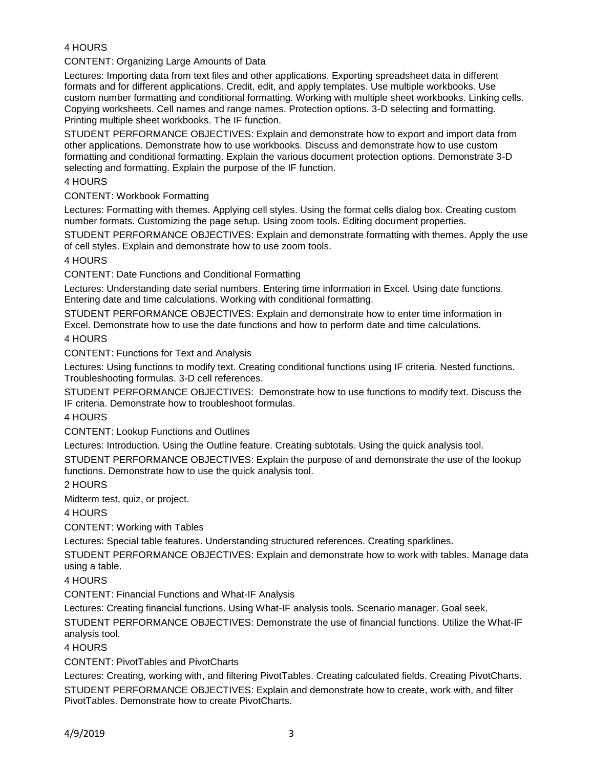# 4 HOURS

CONTENT: Organizing Large Amounts of Data

Lectures: Importing data from text files and other applications. Exporting spreadsheet data in different formats and for different applications. Credit, edit, and apply templates. Use multiple workbooks. Use custom number formatting and conditional formatting. Working with multiple sheet workbooks. Linking cells. Copying worksheets. Cell names and range names. Protection options. 3-D selecting and formatting. Printing multiple sheet workbooks. The IF function.

STUDENT PERFORMANCE OBJECTIVES: Explain and demonstrate how to export and import data from other applications. Demonstrate how to use workbooks. Discuss and demonstrate how to use custom formatting and conditional formatting. Explain the various document protection options. Demonstrate 3-D selecting and formatting. Explain the purpose of the IF function.

4 HOURS

CONTENT: Workbook Formatting

Lectures: Formatting with themes. Applying cell styles. Using the format cells dialog box. Creating custom number formats. Customizing the page setup. Using zoom tools. Editing document properties.

STUDENT PERFORMANCE OBJECTIVES: Explain and demonstrate formatting with themes. Apply the use of cell styles. Explain and demonstrate how to use zoom tools.

### 4 HOURS

CONTENT: Date Functions and Conditional Formatting

Lectures: Understanding date serial numbers. Entering time information in Excel. Using date functions. Entering date and time calculations. Working with conditional formatting.

STUDENT PERFORMANCE OBJECTIVES: Explain and demonstrate how to enter time information in Excel. Demonstrate how to use the date functions and how to perform date and time calculations.

4 HOURS

CONTENT: Functions for Text and Analysis

Lectures: Using functions to modify text. Creating conditional functions using IF criteria. Nested functions. Troubleshooting formulas. 3-D cell references.

STUDENT PERFORMANCE OBJECTIVES: Demonstrate how to use functions to modify text. Discuss the IF criteria. Demonstrate how to troubleshoot formulas.

### 4 HOURS

CONTENT: Lookup Functions and Outlines

Lectures: Introduction. Using the Outline feature. Creating subtotals. Using the quick analysis tool.

STUDENT PERFORMANCE OBJECTIVES: Explain the purpose of and demonstrate the use of the lookup functions. Demonstrate how to use the quick analysis tool.

2 HOURS

Midterm test, quiz, or project.

4 HOURS

CONTENT: Working with Tables

Lectures: Special table features. Understanding structured references. Creating sparklines.

STUDENT PERFORMANCE OBJECTIVES: Explain and demonstrate how to work with tables. Manage data using a table.

4 HOURS

CONTENT: Financial Functions and What-IF Analysis

Lectures: Creating financial functions. Using What-IF analysis tools. Scenario manager. Goal seek.

STUDENT PERFORMANCE OBJECTIVES: Demonstrate the use of financial functions. Utilize the What-IF analysis tool.

4 HOURS

CONTENT: PivotTables and PivotCharts

Lectures: Creating, working with, and filtering PivotTables. Creating calculated fields. Creating PivotCharts. STUDENT PERFORMANCE OBJECTIVES: Explain and demonstrate how to create, work with, and filter PivotTables. Demonstrate how to create PivotCharts.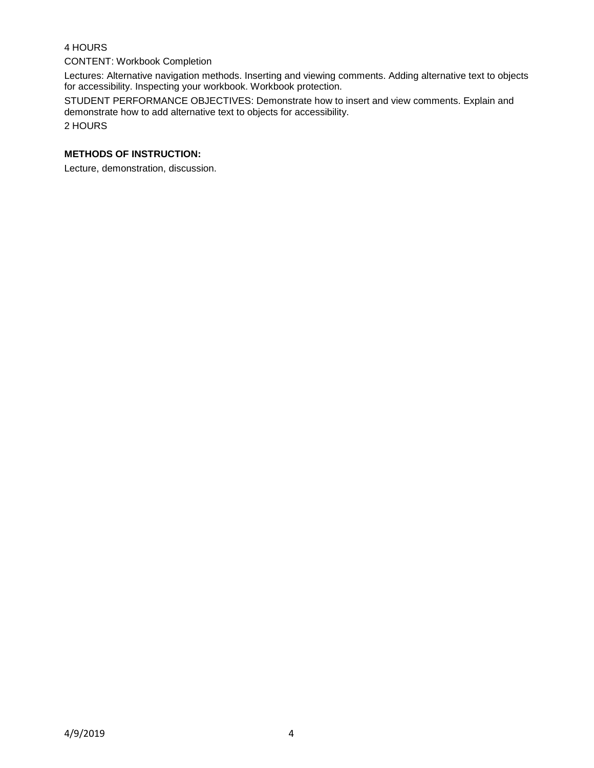# 4 HOURS

### CONTENT: Workbook Completion

Lectures: Alternative navigation methods. Inserting and viewing comments. Adding alternative text to objects for accessibility. Inspecting your workbook. Workbook protection.

STUDENT PERFORMANCE OBJECTIVES: Demonstrate how to insert and view comments. Explain and demonstrate how to add alternative text to objects for accessibility.

2 HOURS

# **METHODS OF INSTRUCTION:**

Lecture, demonstration, discussion.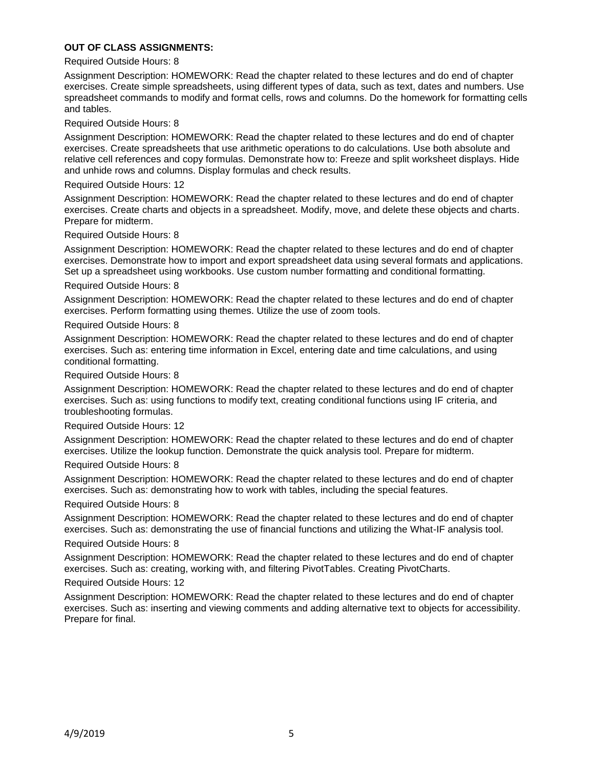### **OUT OF CLASS ASSIGNMENTS:**

### Required Outside Hours: 8

Assignment Description: HOMEWORK: Read the chapter related to these lectures and do end of chapter exercises. Create simple spreadsheets, using different types of data, such as text, dates and numbers. Use spreadsheet commands to modify and format cells, rows and columns. Do the homework for formatting cells and tables.

Required Outside Hours: 8

Assignment Description: HOMEWORK: Read the chapter related to these lectures and do end of chapter exercises. Create spreadsheets that use arithmetic operations to do calculations. Use both absolute and relative cell references and copy formulas. Demonstrate how to: Freeze and split worksheet displays. Hide and unhide rows and columns. Display formulas and check results.

### Required Outside Hours: 12

Assignment Description: HOMEWORK: Read the chapter related to these lectures and do end of chapter exercises. Create charts and objects in a spreadsheet. Modify, move, and delete these objects and charts. Prepare for midterm.

Required Outside Hours: 8

Assignment Description: HOMEWORK: Read the chapter related to these lectures and do end of chapter exercises. Demonstrate how to import and export spreadsheet data using several formats and applications. Set up a spreadsheet using workbooks. Use custom number formatting and conditional formatting.

### Required Outside Hours: 8

Assignment Description: HOMEWORK: Read the chapter related to these lectures and do end of chapter exercises. Perform formatting using themes. Utilize the use of zoom tools.

### Required Outside Hours: 8

Assignment Description: HOMEWORK: Read the chapter related to these lectures and do end of chapter exercises. Such as: entering time information in Excel, entering date and time calculations, and using conditional formatting.

Required Outside Hours: 8

Assignment Description: HOMEWORK: Read the chapter related to these lectures and do end of chapter exercises. Such as: using functions to modify text, creating conditional functions using IF criteria, and troubleshooting formulas.

### Required Outside Hours: 12

Assignment Description: HOMEWORK: Read the chapter related to these lectures and do end of chapter exercises. Utilize the lookup function. Demonstrate the quick analysis tool. Prepare for midterm.

### Required Outside Hours: 8

Assignment Description: HOMEWORK: Read the chapter related to these lectures and do end of chapter exercises. Such as: demonstrating how to work with tables, including the special features.

### Required Outside Hours: 8

Assignment Description: HOMEWORK: Read the chapter related to these lectures and do end of chapter exercises. Such as: demonstrating the use of financial functions and utilizing the What-IF analysis tool.

### Required Outside Hours: 8

Assignment Description: HOMEWORK: Read the chapter related to these lectures and do end of chapter exercises. Such as: creating, working with, and filtering PivotTables. Creating PivotCharts.

### Required Outside Hours: 12

Assignment Description: HOMEWORK: Read the chapter related to these lectures and do end of chapter exercises. Such as: inserting and viewing comments and adding alternative text to objects for accessibility. Prepare for final.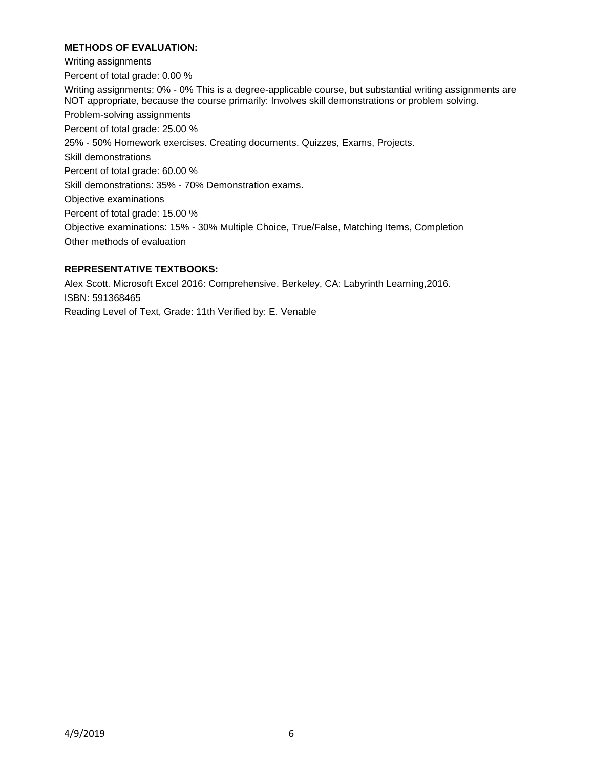# **METHODS OF EVALUATION:**

Writing assignments Percent of total grade: 0.00 % Writing assignments: 0% - 0% This is a degree-applicable course, but substantial writing assignments are NOT appropriate, because the course primarily: Involves skill demonstrations or problem solving. Problem-solving assignments Percent of total grade: 25.00 % 25% - 50% Homework exercises. Creating documents. Quizzes, Exams, Projects. Skill demonstrations Percent of total grade: 60.00 % Skill demonstrations: 35% - 70% Demonstration exams. Objective examinations Percent of total grade: 15.00 % Objective examinations: 15% - 30% Multiple Choice, True/False, Matching Items, Completion Other methods of evaluation

# **REPRESENTATIVE TEXTBOOKS:**

Alex Scott. Microsoft Excel 2016: Comprehensive. Berkeley, CA: Labyrinth Learning,2016. ISBN: 591368465 Reading Level of Text, Grade: 11th Verified by: E. Venable